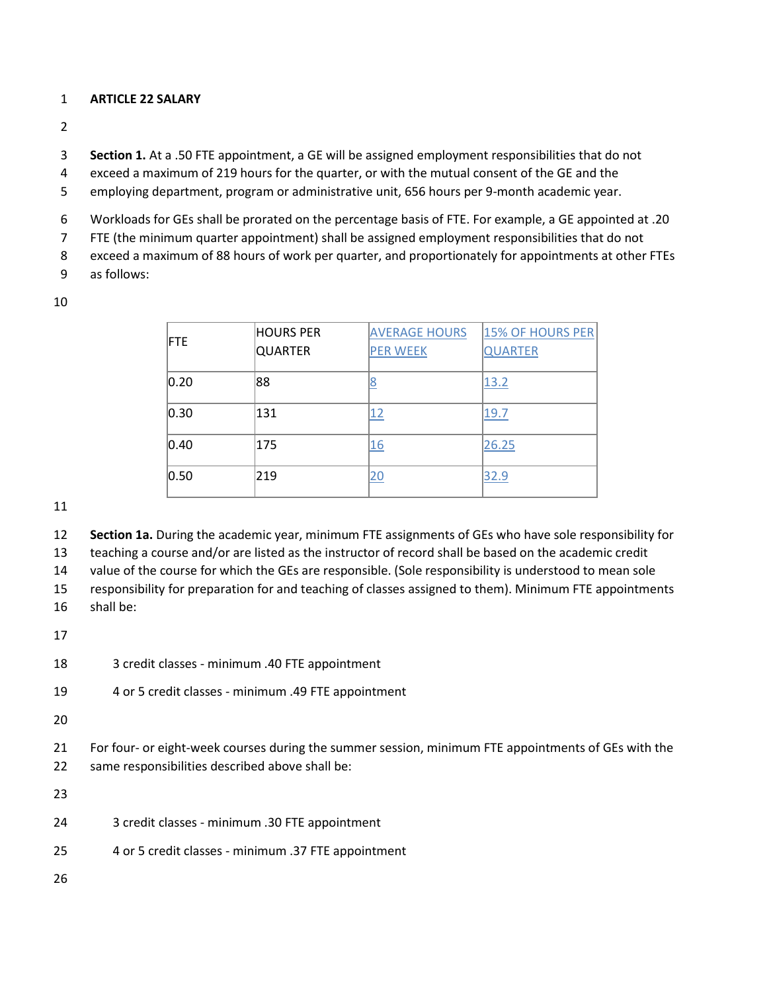## **ARTICLE 22 SALARY**

**Section 1.** At a .50 FTE appointment, a GE will be assigned employment responsibilities that do not

exceed a maximum of 219 hours for the quarter, or with the mutual consent of the GE and the

employing department, program or administrative unit, 656 hours per 9-month academic year.

Workloads for GEs shall be prorated on the percentage basis of FTE. For example, a GE appointed at .20

FTE (the minimum quarter appointment) shall be assigned employment responsibilities that do not

exceed a maximum of 88 hours of work per quarter, and proportionately for appointments at other FTEs

as follows:

| <b>IFTE</b> | <b>HOURS PER</b><br><b>QUARTER</b> | <b>AVERAGE HOURS</b><br><b>PER WEEK</b> | 15% OF HOURS PER<br><b>QUARTER</b> |
|-------------|------------------------------------|-----------------------------------------|------------------------------------|
| 0.20        | 88                                 | <u>8</u>                                | 13.2                               |
| 0.30        | 131                                | <u>12</u>                               | 19.7                               |
| 0.40        | 175                                | 16                                      | 26.25                              |
| 0.50        | 219                                | $\overline{20}$                         | 32.9                               |

**Section 1a.** During the academic year, minimum FTE assignments of GEs who have sole responsibility for

teaching a course and/or are listed as the instructor of record shall be based on the academic credit

value of the course for which the GEs are responsible. (Sole responsibility is understood to mean sole

responsibility for preparation for and teaching of classes assigned to them). Minimum FTE appointments

shall be:

3 credit classes - minimum .40 FTE appointment

4 or 5 credit classes - minimum .49 FTE appointment

 For four- or eight-week courses during the summer session, minimum FTE appointments of GEs with the same responsibilities described above shall be:

3 credit classes - minimum .30 FTE appointment

4 or 5 credit classes - minimum .37 FTE appointment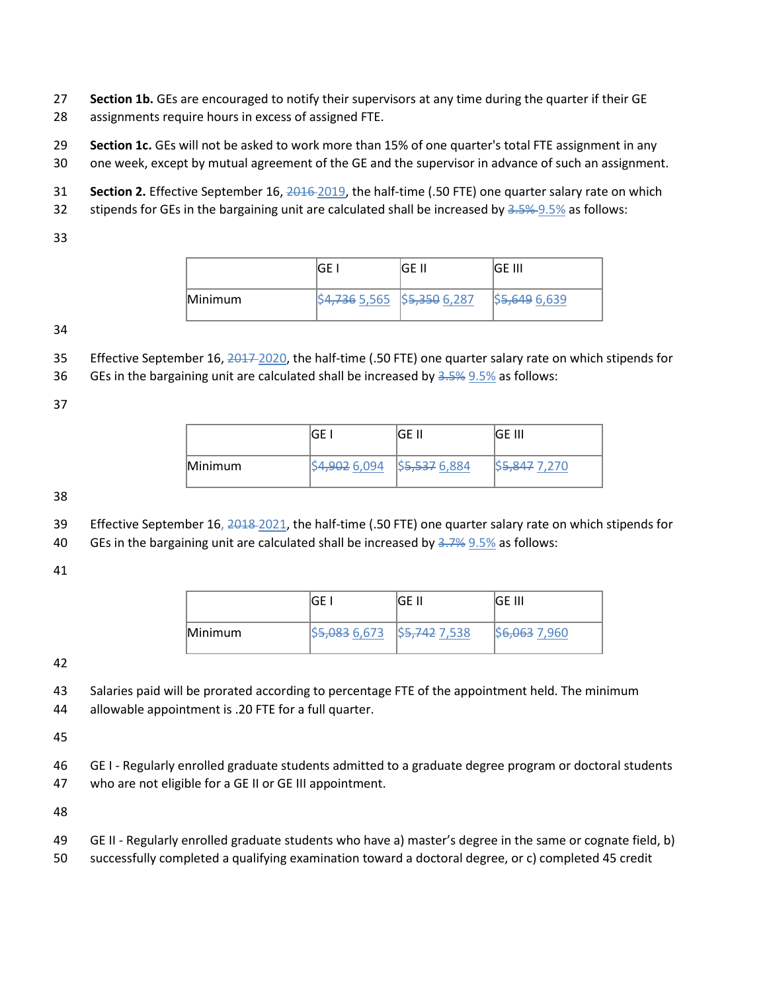- **Section 1b.** GEs are encouraged to notify their supervisors at any time during the quarter if their GE
- assignments require hours in excess of assigned FTE.
- **Section 1c.** GEs will not be asked to work more than 15% of one quarter's total FTE assignment in any
- one week, except by mutual agreement of the GE and the supervisor in advance of such an assignment.
- **Section 2.** Effective September 16, 2016 2019, the half-time (.50 FTE) one quarter salary rate on which
- 32 stipends for GEs in the bargaining unit are calculated shall be increased by 3.5% 9.5% as follows:
- 

|         |                             | IGE II | IGE III       |
|---------|-----------------------------|--------|---------------|
| Minimum | \$4,736 5,565 \$5,350 6,287 |        | \$5,649 6,639 |

- 35 Effective September 16, 2017-2020, the half-time (.50 FTE) one quarter salary rate on which stipends for
- 36 GEs in the bargaining unit are calculated shall be increased by  $3.5\%$  9.5% as follows:

|         | GF                          | GE II | IGE III                  |
|---------|-----------------------------|-------|--------------------------|
| Minimum | \$4,902 6,094 \$5,537 6,884 |       | S <del>5.847</del> 7.270 |

- Effective September 16, 2018 2021, the half-time (.50 FTE) one quarter salary rate on which stipends for
- 40 GEs in the bargaining unit are calculated shall be increased by  $\frac{3.7}{6}$  9.5% as follows:

|         | GF. | IGE II | IGE III                   |
|---------|-----|--------|---------------------------|
| Minimum |     |        | \$ <del>6,063</del> 7,960 |

 Salaries paid will be prorated according to percentage FTE of the appointment held. The minimum allowable appointment is .20 FTE for a full quarter.

 GE I - Regularly enrolled graduate students admitted to a graduate degree program or doctoral students who are not eligible for a GE II or GE III appointment.

- GE II Regularly enrolled graduate students who have a) master's degree in the same or cognate field, b)
- successfully completed a qualifying examination toward a doctoral degree, or c) completed 45 credit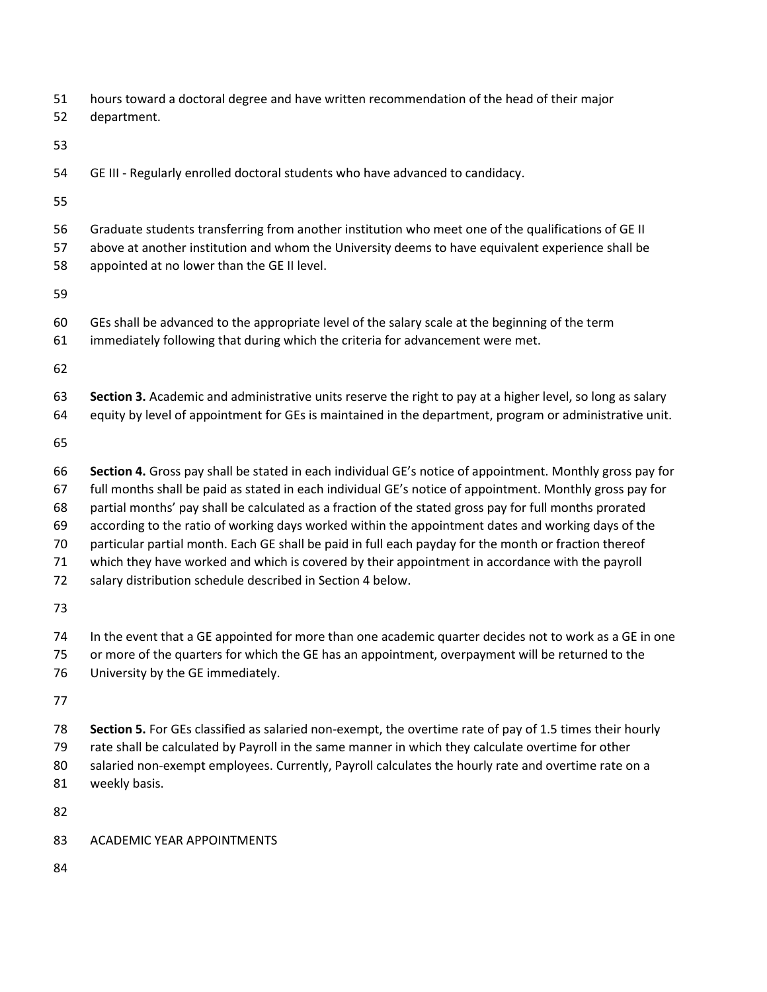| 51 hours toward a doctoral degree and have written recommendation of the head of their major |
|----------------------------------------------------------------------------------------------|
|                                                                                              |

- department.
- 
- GE III Regularly enrolled doctoral students who have advanced to candidacy.
- 
- Graduate students transferring from another institution who meet one of the qualifications of GE II
- above at another institution and whom the University deems to have equivalent experience shall be
- appointed at no lower than the GE II level.
- 
- GEs shall be advanced to the appropriate level of the salary scale at the beginning of the term
- immediately following that during which the criteria for advancement were met.
- 
- **Section 3.** Academic and administrative units reserve the right to pay at a higher level, so long as salary equity by level of appointment for GEs is maintained in the department, program or administrative unit.
- 
- **Section 4.** Gross pay shall be stated in each individual GE's notice of appointment. Monthly gross pay for full months shall be paid as stated in each individual GE's notice of appointment. Monthly gross pay for partial months' pay shall be calculated as a fraction of the stated gross pay for full months prorated according to the ratio of working days worked within the appointment dates and working days of the particular partial month. Each GE shall be paid in full each payday for the month or fraction thereof which they have worked and which is covered by their appointment in accordance with the payroll
- salary distribution schedule described in Section 4 below.
- 
- In the event that a GE appointed for more than one academic quarter decides not to work as a GE in one
- or more of the quarters for which the GE has an appointment, overpayment will be returned to the
- University by the GE immediately.
- 
- **Section 5.** For GEs classified as salaried non-exempt, the overtime rate of pay of 1.5 times their hourly rate shall be calculated by Payroll in the same manner in which they calculate overtime for other
- salaried non-exempt employees. Currently, Payroll calculates the hourly rate and overtime rate on a
- weekly basis.
- 
- ACADEMIC YEAR APPOINTMENTS
-